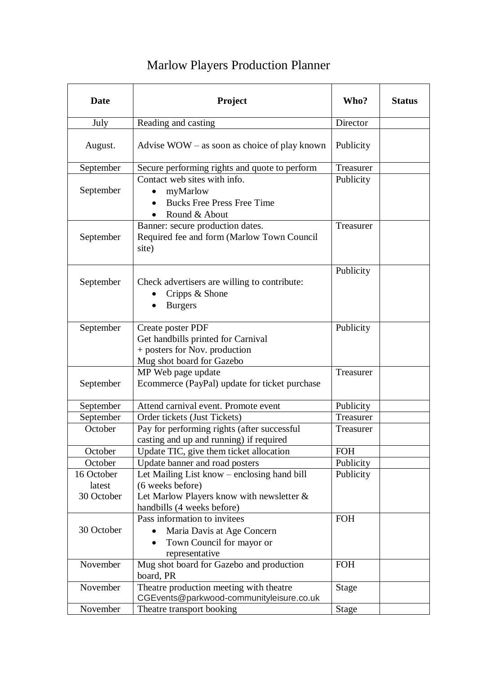## Marlow Players Production Planner

| <b>Date</b>                        | Project                                                                                                                                    | Who?         | <b>Status</b> |
|------------------------------------|--------------------------------------------------------------------------------------------------------------------------------------------|--------------|---------------|
| July                               | Reading and casting                                                                                                                        | Director     |               |
| August.                            | Advise $WOW - as soon as choice of play known$                                                                                             | Publicity    |               |
| September                          | Secure performing rights and quote to perform                                                                                              | Treasurer    |               |
| September                          | Contact web sites with info.<br>myMarlow<br>$\bullet$<br><b>Bucks Free Press Free Time</b><br>Round & About                                | Publicity    |               |
| September                          | Banner: secure production dates.<br>Required fee and form (Marlow Town Council<br>site)                                                    | Treasurer    |               |
| September                          | Check advertisers are willing to contribute:<br>Cripps & Shone<br><b>Burgers</b>                                                           | Publicity    |               |
| September                          | Create poster PDF<br>Get handbills printed for Carnival<br>+ posters for Nov. production<br>Mug shot board for Gazebo                      | Publicity    |               |
| September                          | MP Web page update<br>Ecommerce (PayPal) update for ticket purchase                                                                        | Treasurer    |               |
| September                          | Attend carnival event. Promote event                                                                                                       | Publicity    |               |
| September                          | Order tickets (Just Tickets)                                                                                                               | Treasurer    |               |
| October                            | Pay for performing rights (after successful<br>casting and up and running) if required                                                     | Treasurer    |               |
| October                            | Update TIC, give them ticket allocation                                                                                                    | <b>FOH</b>   |               |
| October                            | Update banner and road posters                                                                                                             | Publicity    |               |
| 16 October<br>latest<br>30 October | Let Mailing List know - enclosing hand bill<br>(6 weeks before)<br>Let Marlow Players know with newsletter &<br>handbills (4 weeks before) | Publicity    |               |
| 30 October                         | Pass information to invitees<br>Maria Davis at Age Concern<br>Town Council for mayor or<br>representative                                  | <b>FOH</b>   |               |
| November                           | Mug shot board for Gazebo and production<br>board, PR                                                                                      | <b>FOH</b>   |               |
| November                           | Theatre production meeting with theatre<br>CGEvents@parkwood-communityleisure.co.uk                                                        | <b>Stage</b> |               |
| November                           | Theatre transport booking                                                                                                                  | <b>Stage</b> |               |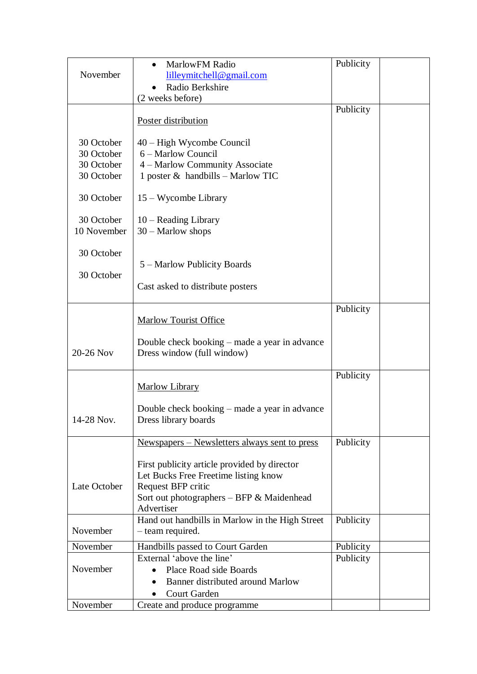|              | MarlowFM Radio                                                              | Publicity |
|--------------|-----------------------------------------------------------------------------|-----------|
| November     | lilleymitchell@gmail.com                                                    |           |
|              | Radio Berkshire                                                             |           |
|              | (2 weeks before)                                                            |           |
|              |                                                                             | Publicity |
|              | Poster distribution                                                         |           |
|              |                                                                             |           |
| 30 October   | 40 – High Wycombe Council                                                   |           |
| 30 October   | 6 – Marlow Council                                                          |           |
| 30 October   | 4 - Marlow Community Associate                                              |           |
| 30 October   | 1 poster $\&$ handbills - Marlow TIC                                        |           |
|              |                                                                             |           |
| 30 October   | 15 – Wycombe Library                                                        |           |
|              |                                                                             |           |
| 30 October   | $10$ – Reading Library                                                      |           |
| 10 November  | $30 - \text{Marlow shops}$                                                  |           |
|              |                                                                             |           |
| 30 October   |                                                                             |           |
|              | 5 – Marlow Publicity Boards                                                 |           |
| 30 October   |                                                                             |           |
|              | Cast asked to distribute posters                                            |           |
|              |                                                                             |           |
|              |                                                                             | Publicity |
|              | <b>Marlow Tourist Office</b>                                                |           |
|              |                                                                             |           |
| 20-26 Nov    | Double check booking - made a year in advance<br>Dress window (full window) |           |
|              |                                                                             |           |
|              |                                                                             | Publicity |
|              | Marlow Library                                                              |           |
|              |                                                                             |           |
|              | Double check booking – made a year in advance                               |           |
| 14-28 Nov.   | Dress library boards                                                        |           |
|              |                                                                             |           |
|              | <u>Newspapers – Newsletters always sent to press</u>                        | Publicity |
|              |                                                                             |           |
|              | First publicity article provided by director                                |           |
|              | Let Bucks Free Freetime listing know                                        |           |
| Late October | Request BFP critic                                                          |           |
|              | Sort out photographers - BFP & Maidenhead                                   |           |
|              | Advertiser                                                                  |           |
|              | Hand out handbills in Marlow in the High Street                             | Publicity |
| November     | - team required.                                                            |           |
| November     | Handbills passed to Court Garden                                            | Publicity |
|              | External 'above the line'                                                   | Publicity |
| November     | Place Road side Boards<br>$\bullet$                                         |           |
|              | Banner distributed around Marlow                                            |           |
|              | Court Garden                                                                |           |
| November     | Create and produce programme                                                |           |